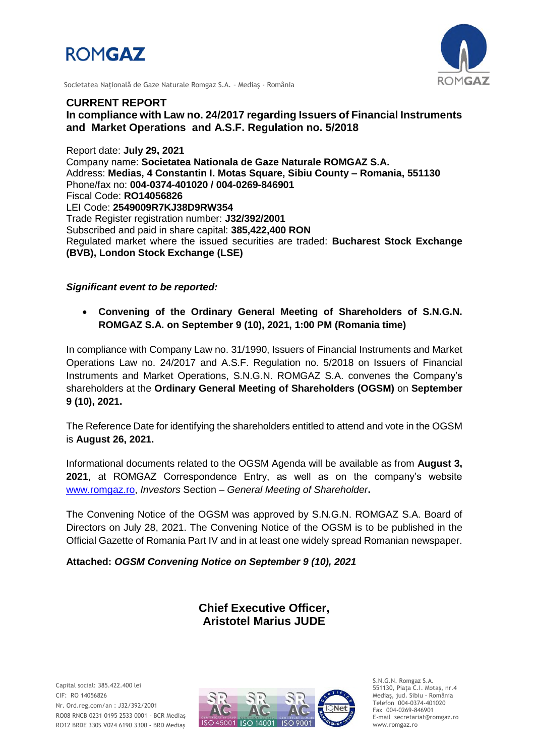



Societatea Naţională de Gaze Naturale Romgaz S.A. – Mediaş - România

# **CURRENT REPORT In compliance with Law no. 24/2017 regarding Issuers of Financial Instruments and Market Operations and A.S.F. Regulation no. 5/2018**

Report date: **July 29, 2021** Company name: **Societatea Nationala de Gaze Naturale ROMGAZ S.A.** Address: **Medias, 4 Constantin I. Motas Square, Sibiu County – Romania, 551130** Phone/fax no: **004-0374-401020 / 004-0269-846901** Fiscal Code: **RO14056826** LEI Code: **2549009R7KJ38D9RW354** Trade Register registration number: **J32/392/2001** Subscribed and paid in share capital: **385,422,400 RON** Regulated market where the issued securities are traded: **Bucharest Stock Exchange (BVB), London Stock Exchange (LSE)**

## *Significant event to be reported:*

 **Convening of the Ordinary General Meeting of Shareholders of S.N.G.N. ROMGAZ S.A. on September 9 (10), 2021, 1:00 PM (Romania time)**

In compliance with Company Law no. 31/1990, Issuers of Financial Instruments and Market Operations Law no. 24/2017 and A.S.F. Regulation no. 5/2018 on Issuers of Financial Instruments and Market Operations, S.N.G.N. ROMGAZ S.A. convenes the Company's shareholders at the **Ordinary General Meeting of Shareholders (OGSM)** on **September 9 (10), 2021.**

The Reference Date for identifying the shareholders entitled to attend and vote in the OGSM is **August 26, 2021.**

Informational documents related to the OGSM Agenda will be available as from **August 3, 2021**, at ROMGAZ Correspondence Entry, as well as on the company's website [www.romgaz.ro,](http://www.romgaz.ro/) *Investors* Section – *General Meeting of Shareholder***.**

The Convening Notice of the OGSM was approved by S.N.G.N. ROMGAZ S.A. Board of Directors on July 28, 2021. The Convening Notice of the OGSM is to be published in the Official Gazette of Romania Part IV and in at least one widely spread Romanian newspaper.

**Attached:** *OGSM Convening Notice on September 9 (10), 2021*

**Chief Executive Officer, Aristotel Marius JUDE**



S.N.G.N. Romgaz S.A. 551130, Piața C.I. Motaş, nr.4 Mediaş, jud. Sibiu - România Telefon 004-0374-401020 Fax 004-0269-846901 E-mail secretariat@romgaz.ro www.romgaz.ro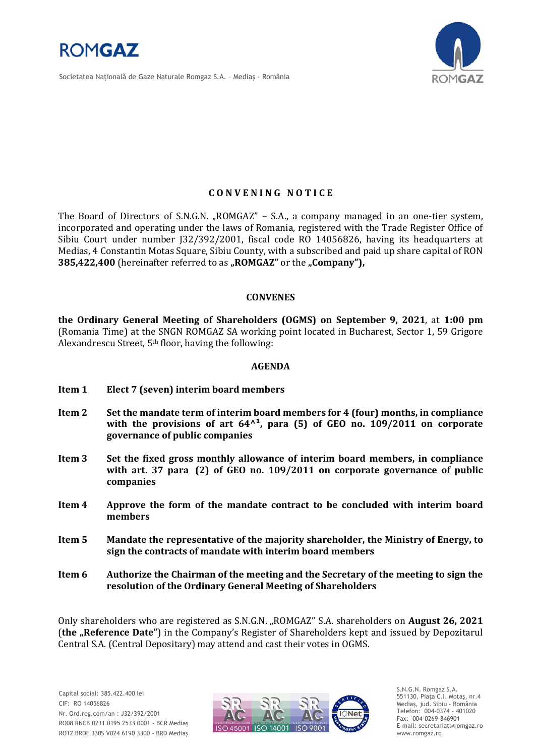

Societatea Naţională de Gaze Naturale Romgaz S.A. – Mediaş - România



## **C O N V E N I N G N O T I C E**

The Board of Directors of S.N.G.N. "ROMGAZ" – S.A., a company managed in an one-tier system, incorporated and operating under the laws of Romania, registered with the Trade Register Office of Sibiu Court under number J32/392/2001, fiscal code RO 14056826, having its headquarters at Medias, 4 Constantin Motas Square, Sibiu County, with a subscribed and paid up share capital of RON **385,422,400** (hereinafter referred to as "ROMGAZ" or the "Company"),

### **CONVENES**

**the Ordinary General Meeting of Shareholders (OGMS) on September 9, 2021**, at **1:00 pm**  (Romania Time) at the SNGN ROMGAZ SA working point located in Bucharest, Sector 1, 59 Grigore Alexandrescu Street, 5th floor, having the following:

### **AGENDA**

- **Item 1 Elect 7 (seven) interim board members**
- **Item 2 Set the mandate term of interim board members for 4 (four) months, in compliance**  with the provisions of art  $64<sup>1</sup>$ , para (5) of GEO no. 109/2011 on corporate **governance of public companies**
- **Item 3 Set the fixed gross monthly allowance of interim board members, in compliance with art. 37 para (2) of GEO no. 109/2011 on corporate governance of public companies**
- **Item 4 Approve the form of the mandate contract to be concluded with interim board members**
- **Item 5 Mandate the representative of the majority shareholder, the Ministry of Energy, to sign the contracts of mandate with interim board members**
- **Item 6 Authorize the Chairman of the meeting and the Secretary of the meeting to sign the resolution of the Ordinary General Meeting of Shareholders**

Only shareholders who are registered as S.N.G.N. "ROMGAZ" S.A. shareholders on **August 26, 2021** (**the "Reference Date"**) in the Company's Register of Shareholders kept and issued by Depozitarul Central S.A. (Central Depositary) may attend and cast their votes in OGMS.



S.N.G.N. Romgaz S.A. 551130, Piața C.I. Motaş, nr.4 Mediaş, jud. Sibiu - România Telefon: 004-0374 - 401020 Fax: 004-0269-846901 E-mail: secretariat@romgaz.ro www.romgaz.ro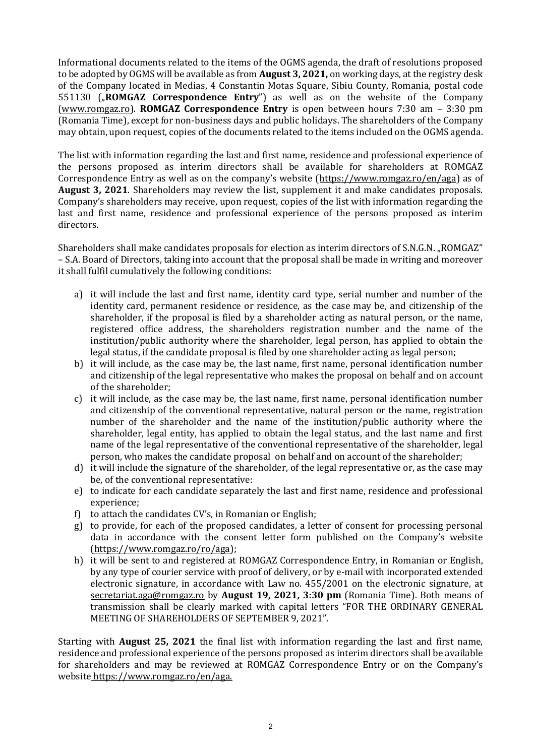Informational documents related to the items of the OGMS agenda, the draft of resolutions proposed to be adopted by OGMS will be available as from **August 3, 2021,** on working days, at the registry desk of the Company located in Medias, 4 Constantin Motas Square, Sibiu County, Romania, postal code 551130 ("**ROMGAZ Correspondence Entry**") as well as on the website of the Company [\(www.romgaz.ro\)](http://www.romgaz.ro/). **ROMGAZ Correspondence Entry** is open between hours 7:30 am – 3:30 pm (Romania Time), except for non-business days and public holidays. The shareholders of the Company may obtain, upon request, copies of the documents related to the items included on the OGMS agenda.

The list with information regarding the last and first name, residence and professional experience of the persons proposed as interim directors shall be available for shareholders at ROMGAZ Correspondence Entry as well as on the company's website ([https://www.romgaz.ro/en/aga\)](https://www.romgaz.ro/en/aga) as of **August 3, 2021**. Shareholders may review the list, supplement it and make candidates proposals. Company's shareholders may receive, upon request, copies of the list with information regarding the last and first name, residence and professional experience of the persons proposed as interim directors.

Shareholders shall make candidates proposals for election as interim directors of S.N.G.N. "ROMGAZ" – S.A. Board of Directors, taking into account that the proposal shall be made in writing and moreover it shall fulfil cumulatively the following conditions:

- a) it will include the last and first name, identity card type, serial number and number of the identity card, permanent residence or residence, as the case may be, and citizenship of the shareholder, if the proposal is filed by a shareholder acting as natural person, or the name, registered office address, the shareholders registration number and the name of the institution/public authority where the shareholder, legal person, has applied to obtain the legal status, if the candidate proposal is filed by one shareholder acting as legal person;
- b) it will include, as the case may be, the last name, first name, personal identification number and citizenship of the legal representative who makes the proposal on behalf and on account of the shareholder;
- c) it will include, as the case may be, the last name, first name, personal identification number and citizenship of the conventional representative, natural person or the name, registration number of the shareholder and the name of the institution/public authority where the shareholder, legal entity, has applied to obtain the legal status, and the last name and first name of the legal representative of the conventional representative of the shareholder, legal person, who makes the candidate proposal on behalf and on account of the shareholder;
- d) it will include the signature of the shareholder, of the legal representative or, as the case may be, of the conventional representative:
- e) to indicate for each candidate separately the last and first name, residence and professional experience;
- f) to attach the candidates CV's, in Romanian or English;
- g) to provide, for each of the proposed candidates, a letter of consent for processing personal data in accordance with the consent letter form published on the Company's website [\(https://www.romgaz.ro/ro/aga\)](https://www.romgaz.ro/ro/aga);
- h) it will be sent to and registered at ROMGAZ Correspondence Entry, in Romanian or English, by any type of courier service with proof of delivery, or by e-mail with incorporated extended electronic signature, in accordance with Law no. 455/2001 on the electronic signature, at [secretariat.aga@romgaz.ro](mailto:secretariat.aga%40romgaz.ro) by **August 19, 2021, 3:30 pm** (Romania Time). Both means of transmission shall be clearly marked with capital letters "FOR THE ORDINARY GENERAL MEETING OF SHAREHOLDERS OF SEPTEMBER 9, 2021".

Starting with **August 25, 2021** the final list with information regarding the last and first name, residence and professional experience of the persons proposed as interim directors shall be available for shareholders and may be reviewed at ROMGAZ Correspondence Entry or on the Company's website [https://www.romgaz.ro/en/aga.](https://www.romgaz.ro/en/aga)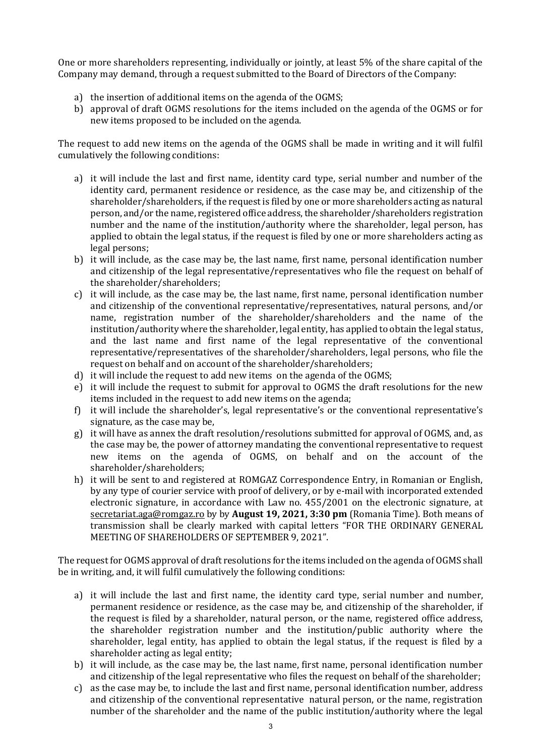One or more shareholders representing, individually or jointly, at least 5% of the share capital of the Company may demand, through a request submitted to the Board of Directors of the Company:

- a) the insertion of additional items on the agenda of the OGMS;
- b) approval of draft OGMS resolutions for the items included on the agenda of the OGMS or for new items proposed to be included on the agenda.

The request to add new items on the agenda of the OGMS shall be made in writing and it will fulfil cumulatively the following conditions:

- a) it will include the last and first name, identity card type, serial number and number of the identity card, permanent residence or residence, as the case may be, and citizenship of the shareholder/shareholders, if the request is filed by one or more shareholders acting as natural person, and/or the name, registered office address, the shareholder/shareholders registration number and the name of the institution/authority where the shareholder, legal person, has applied to obtain the legal status, if the request is filed by one or more shareholders acting as legal persons;
- b) it will include, as the case may be, the last name, first name, personal identification number and citizenship of the legal representative/representatives who file the request on behalf of the shareholder/shareholders;
- c) it will include, as the case may be, the last name, first name, personal identification number and citizenship of the conventional representative/representatives, natural persons, and/or name, registration number of the shareholder/shareholders and the name of the institution/authority where the shareholder, legal entity, has applied to obtain the legal status, and the last name and first name of the legal representative of the conventional representative/representatives of the shareholder/shareholders, legal persons, who file the request on behalf and on account of the shareholder/shareholders;
- d) it will include the request to add new items on the agenda of the OGMS;
- e) it will include the request to submit for approval to OGMS the draft resolutions for the new items included in the request to add new items on the agenda;
- f) it will include the shareholder's, legal representative's or the conventional representative's signature, as the case may be,
- g) it will have as annex the draft resolution/resolutions submitted for approval of OGMS, and, as the case may be, the power of attorney mandating the conventional representative to request new items on the agenda of OGMS, on behalf and on the account of the shareholder/shareholders;
- h) it will be sent to and registered at ROMGAZ Correspondence Entry, in Romanian or English, by any type of courier service with proof of delivery, or by e-mail with incorporated extended electronic signature, in accordance with Law no. 455/2001 on the electronic signature, at [secretariat.aga@romgaz.ro](mailto:secretariat.aga%40romgaz.ro) by by **August 19, 2021, 3:30 pm** (Romania Time). Both means of transmission shall be clearly marked with capital letters "FOR THE ORDINARY GENERAL MEETING OF SHAREHOLDERS OF SEPTEMBER 9, 2021".

The request for OGMS approval of draft resolutions for the items included on the agenda of OGMS shall be in writing, and, it will fulfil cumulatively the following conditions:

- a) it will include the last and first name, the identity card type, serial number and number, permanent residence or residence, as the case may be, and citizenship of the shareholder, if the request is filed by a shareholder, natural person, or the name, registered office address, the shareholder registration number and the institution/public authority where the shareholder, legal entity, has applied to obtain the legal status, if the request is filed by a shareholder acting as legal entity;
- b) it will include, as the case may be, the last name, first name, personal identification number and citizenship of the legal representative who files the request on behalf of the shareholder;
- c) as the case may be, to include the last and first name, personal identification number, address and citizenship of the conventional representative natural person, or the name, registration number of the shareholder and the name of the public institution/authority where the legal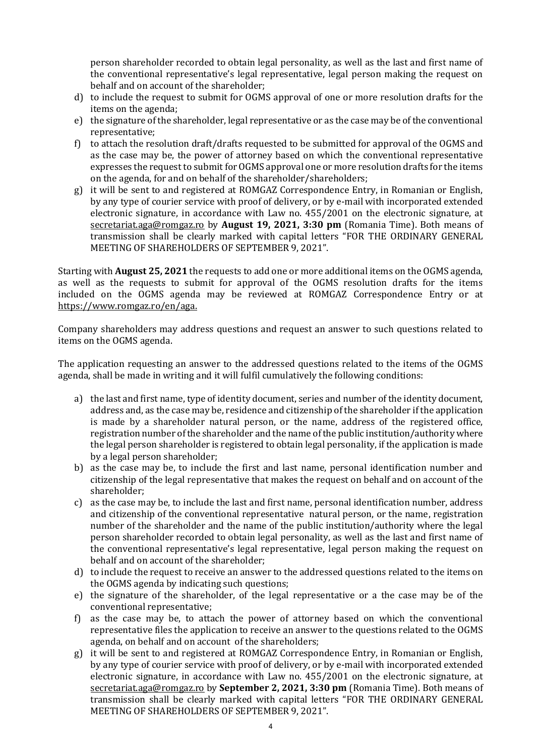person shareholder recorded to obtain legal personality, as well as the last and first name of the conventional representative's legal representative, legal person making the request on behalf and on account of the shareholder;

- d) to include the request to submit for OGMS approval of one or more resolution drafts for the items on the agenda;
- e) the signature of the shareholder, legal representative or as the case may be of the conventional representative;
- f) to attach the resolution draft/drafts requested to be submitted for approval of the OGMS and as the case may be, the power of attorney based on which the conventional representative expresses the request to submit for OGMS approval one or more resolution drafts for the items on the agenda, for and on behalf of the shareholder/shareholders;
- g) it will be sent to and registered at ROMGAZ Correspondence Entry, in Romanian or English, by any type of courier service with proof of delivery, or by e-mail with incorporated extended electronic signature, in accordance with Law no. 455/2001 on the electronic signature, at [secretariat.aga@romgaz.ro](mailto:secretariat.aga%40romgaz.ro) by **August 19, 2021, 3:30 pm** (Romania Time). Both means of transmission shall be clearly marked with capital letters "FOR THE ORDINARY GENERAL MEETING OF SHAREHOLDERS OF SEPTEMBER 9, 2021".

Starting with **August 25, 2021** the requests to add one or more additional items on the OGMS agenda, as well as the requests to submit for approval of the OGMS resolution drafts for the items included on the OGMS agenda may be reviewed at ROMGAZ Correspondence Entry or at [https://www.romgaz.ro/en/aga.](https://www.romgaz.ro/en/aga)

Company shareholders may address questions and request an answer to such questions related to items on the OGMS agenda.

The application requesting an answer to the addressed questions related to the items of the OGMS agenda, shall be made in writing and it will fulfil cumulatively the following conditions:

- a) the last and first name, type of identity document, series and number of the identity document, address and, as the case may be, residence and citizenship of the shareholder if the application is made by a shareholder natural person, or the name, address of the registered office, registration number of the shareholder and the name of the public institution/authority where the legal person shareholder is registered to obtain legal personality, if the application is made by a legal person shareholder;
- b) as the case may be, to include the first and last name, personal identification number and citizenship of the legal representative that makes the request on behalf and on account of the shareholder;
- c) as the case may be, to include the last and first name, personal identification number, address and citizenship of the conventional representative natural person, or the name, registration number of the shareholder and the name of the public institution/authority where the legal person shareholder recorded to obtain legal personality, as well as the last and first name of the conventional representative's legal representative, legal person making the request on behalf and on account of the shareholder;
- d) to include the request to receive an answer to the addressed questions related to the items on the OGMS agenda by indicating such questions;
- e) the signature of the shareholder, of the legal representative or a the case may be of the conventional representative;
- f) as the case may be, to attach the power of attorney based on which the conventional representative files the application to receive an answer to the questions related to the OGMS agenda, on behalf and on account of the shareholders;
- g) it will be sent to and registered at ROMGAZ Correspondence Entry, in Romanian or English, by any type of courier service with proof of delivery, or by e-mail with incorporated extended electronic signature, in accordance with Law no. 455/2001 on the electronic signature, at [secretariat.aga@romgaz.ro](mailto:secretariat.aga%40romgaz.ro) by **September 2, 2021, 3:30 pm** (Romania Time). Both means of transmission shall be clearly marked with capital letters "FOR THE ORDINARY GENERAL MEETING OF SHAREHOLDERS OF SEPTEMBER 9, 2021".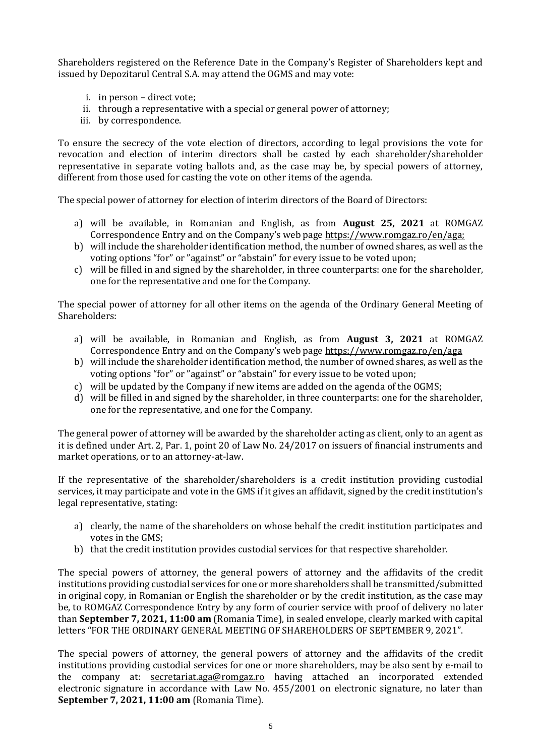Shareholders registered on the Reference Date in the Company's Register of Shareholders kept and issued by Depozitarul Central S.A. may attend the OGMS and may vote:

- i. in person direct vote;
- ii. through a representative with a special or general power of attorney;
- iii. by correspondence.

To ensure the secrecy of the vote election of directors, according to legal provisions the vote for revocation and election of interim directors shall be casted by each shareholder/shareholder representative in separate voting ballots and, as the case may be, by special powers of attorney, different from those used for casting the vote on other items of the agenda.

The special power of attorney for election of interim directors of the Board of Directors:

- a) will be available, in Romanian and English, as from **August 25, 2021** at ROMGAZ Correspondence Entry and on the Company's web page [https://www.romgaz.ro/en/aga;](https://www.romgaz.ro/en/aga)
- b) will include the shareholder identification method, the number of owned shares, as well as the voting options "for" or "against" or "abstain" for every issue to be voted upon;
- c) will be filled in and signed by the shareholder, in three counterparts: one for the shareholder, one for the representative and one for the Company.

The special power of attorney for all other items on the agenda of the Ordinary General Meeting of Shareholders:

- a) will be available, in Romanian and English, as from **August 3, 2021** at ROMGAZ Correspondence Entry and on the Company's web page <https://www.romgaz.ro/en/aga>
- b) will include the shareholder identification method, the number of owned shares, as well as the voting options "for" or "against" or "abstain" for every issue to be voted upon;
- c) will be updated by the Company if new items are added on the agenda of the OGMS;
- d) will be filled in and signed by the shareholder, in three counterparts: one for the shareholder, one for the representative, and one for the Company.

The general power of attorney will be awarded by the shareholder acting as client, only to an agent as it is defined under Art. 2, Par. 1, point 20 of Law No. 24/2017 on issuers of financial instruments and market operations, or to an attorney-at-law.

If the representative of the shareholder/shareholders is a credit institution providing custodial services, it may participate and vote in the GMS if it gives an affidavit, signed by the credit institution's legal representative, stating:

- a) clearly, the name of the shareholders on whose behalf the credit institution participates and votes in the GMS;
- b) that the credit institution provides custodial services for that respective shareholder.

The special powers of attorney, the general powers of attorney and the affidavits of the credit institutions providing custodial services for one or more shareholders shall be transmitted/submitted in original copy, in Romanian or English the shareholder or by the credit institution, as the case may be, to ROMGAZ Correspondence Entry by any form of courier service with proof of delivery no later than **September 7, 2021, 11:00 am** (Romania Time), in sealed envelope, clearly marked with capital letters "FOR THE ORDINARY GENERAL MEETING OF SHAREHOLDERS OF SEPTEMBER 9, 2021".

The special powers of attorney, the general powers of attorney and the affidavits of the credit institutions providing custodial services for one or more shareholders, may be also sent by e-mail to the company at: [secretariat.aga@romgaz.ro](mailto:secretariat.aga%40romgaz.ro) having attached an incorporated extended electronic signature in accordance with Law No. 455/2001 on electronic signature, no later than **September 7, 2021, 11:00 am** (Romania Time).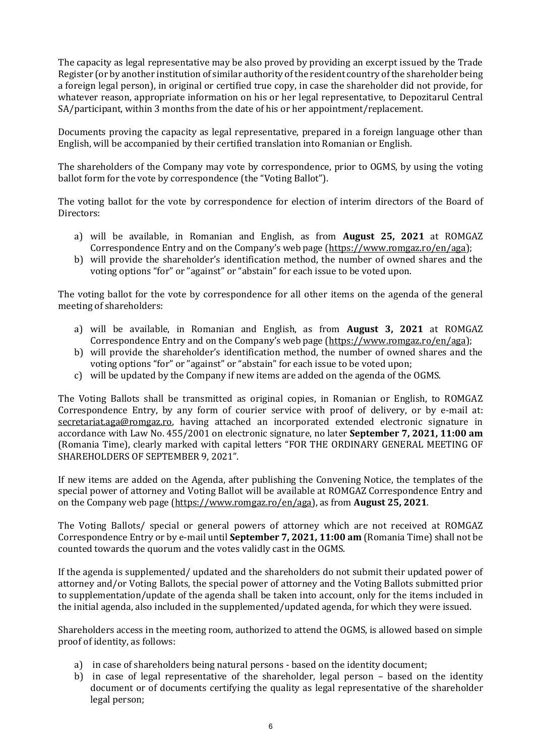The capacity as legal representative may be also proved by providing an excerpt issued by the Trade Register (or by another institution of similar authority of the resident country of the shareholder being a foreign legal person), in original or certified true copy, in case the shareholder did not provide, for whatever reason, appropriate information on his or her legal representative, to Depozitarul Central SA/participant, within 3 months from the date of his or her appointment/replacement.

Documents proving the capacity as legal representative, prepared in a foreign language other than English, will be accompanied by their certified translation into Romanian or English.

The shareholders of the Company may vote by correspondence, prior to OGMS, by using the voting ballot form for the vote by correspondence (the "Voting Ballot").

The voting ballot for the vote by correspondence for election of interim directors of the Board of Directors:

- a) will be available, in Romanian and English, as from **August 25, 2021** at ROMGAZ Correspondence Entry and on the Company's web page ([https://www.romgaz.ro/en/aga\)](https://www.romgaz.ro/en/aga);
- b) will provide the shareholder's identification method, the number of owned shares and the voting options "for" or "against" or "abstain" for each issue to be voted upon.

The voting ballot for the vote by correspondence for all other items on the agenda of the general meeting of shareholders:

- a) will be available, in Romanian and English, as from **August 3, 2021** at ROMGAZ Correspondence Entry and on the Company's web page ([https://www.romgaz.ro/en/aga\)](https://www.romgaz.ro/en/aga);
- b) will provide the shareholder's identification method, the number of owned shares and the voting options "for" or "against" or "abstain" for each issue to be voted upon;
- c) will be updated by the Company if new items are added on the agenda of the OGMS.

The Voting Ballots shall be transmitted as original copies, in Romanian or English, to ROMGAZ Correspondence Entry, by any form of courier service with proof of delivery, or by e-mail at: [secretariat.aga@romgaz.ro,](mailto:secretariat.aga%40romgaz.ro) having attached an incorporated extended electronic signature in accordance with Law No. 455/2001 on electronic signature, no later **September 7, 2021, 11:00 am**  (Romania Time), clearly marked with capital letters "FOR THE ORDINARY GENERAL MEETING OF SHAREHOLDERS OF SEPTEMBER 9, 2021".

If new items are added on the Agenda, after publishing the Convening Notice, the templates of the special power of attorney and Voting Ballot will be available at ROMGAZ Correspondence Entry and on the Company web page [\(https://www.romgaz.ro/en/aga\)](https://www.romgaz.ro/en/aga), as from **August 25, 2021**.

The Voting Ballots/ special or general powers of attorney which are not received at ROMGAZ Correspondence Entry or by e-mail until **September 7, 2021, 11:00 am** (Romania Time) shall not be counted towards the quorum and the votes validly cast in the OGMS.

If the agenda is supplemented/ updated and the shareholders do not submit their updated power of attorney and/or Voting Ballots, the special power of attorney and the Voting Ballots submitted prior to supplementation/update of the agenda shall be taken into account, only for the items included in the initial agenda, also included in the supplemented/updated agenda, for which they were issued.

Shareholders access in the meeting room, authorized to attend the OGMS, is allowed based on simple proof of identity, as follows:

- a) in case of shareholders being natural persons based on the identity document;
- b) in case of legal representative of the shareholder, legal person based on the identity document or of documents certifying the quality as legal representative of the shareholder legal person;